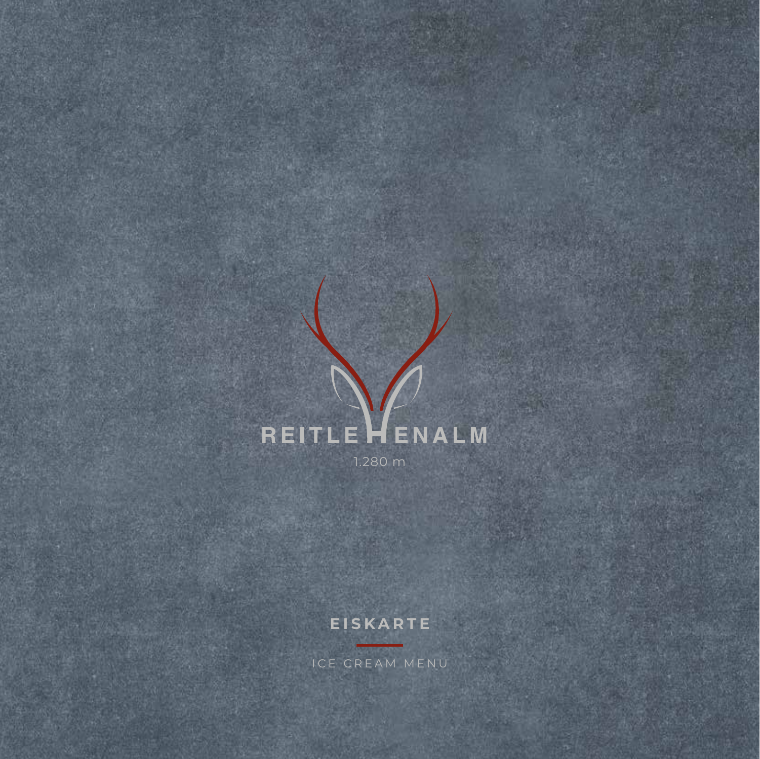

#### **EISKARTE**

ICE CREAM MENU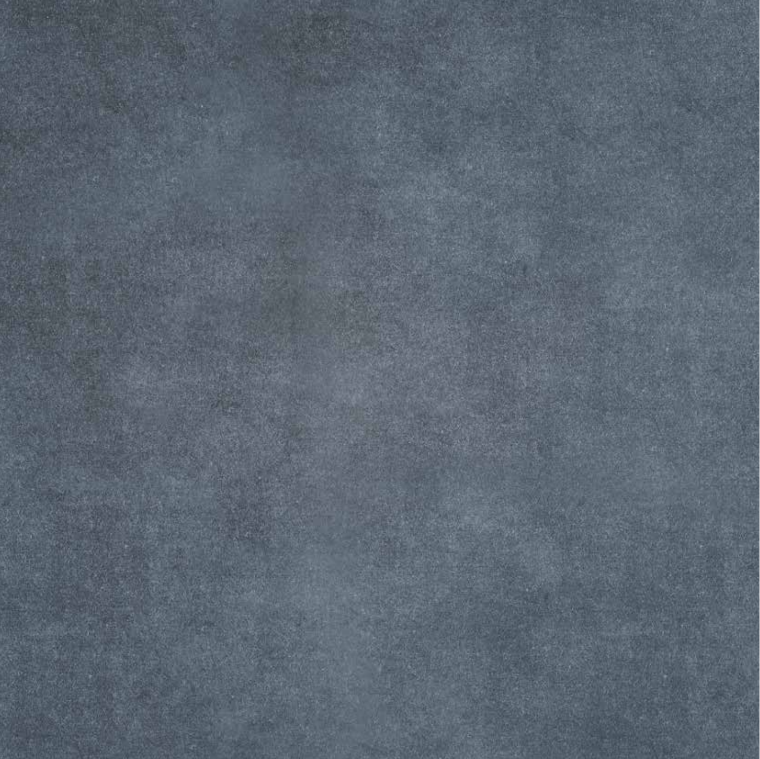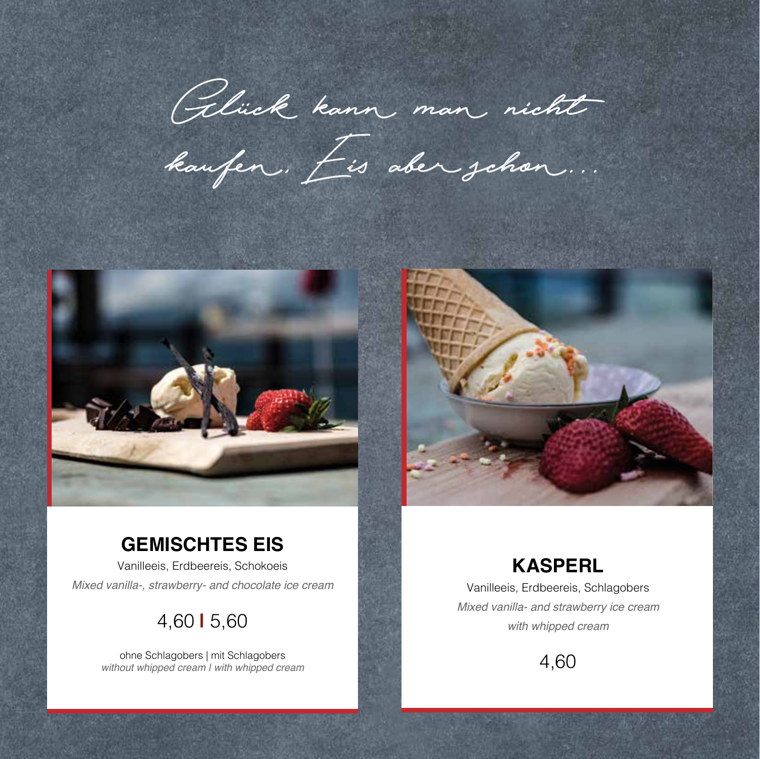Glück kann man nicht

kaufen. Lis aber j*ehon...* 



# **GEMISCHTES EIS**

Vanilleeis, Erdbeereis, Schokoeis *Mixed vanilla-, strawberry- and chocolate ice cream*

# 4,60 **|** 5,60

ohne Schlagobers | mit Schlagobers *without whipped cream | with whipped cream*



## **KASPERL**

Vanilleeis, Erdbeereis, Schlagobers *Mixed vanilla- and strawberry ice cream with whipped cream*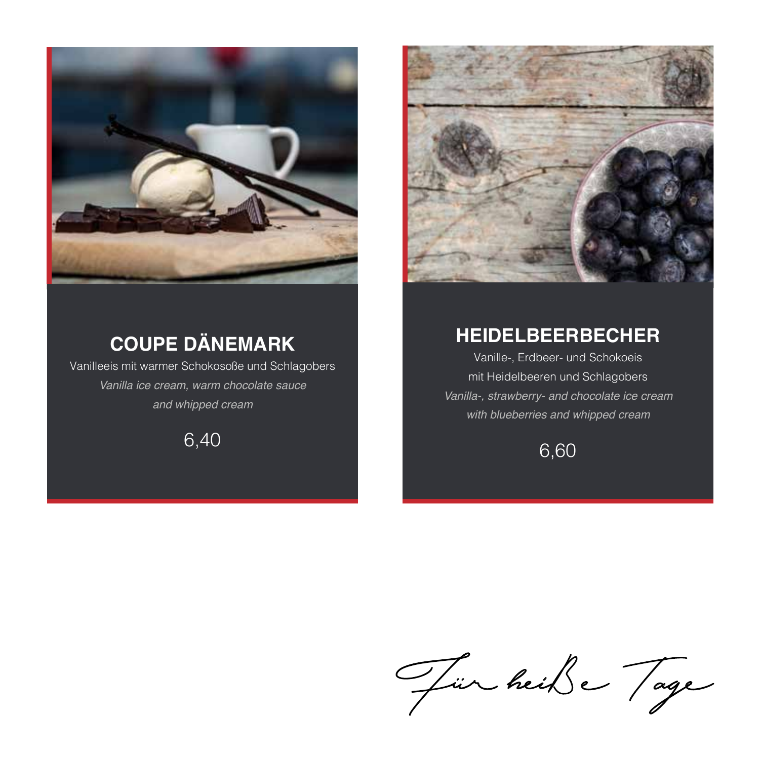

# **COUPE DÄNEMARK**

Vanilleeis mit warmer Schokosoße und Schlagobers *Vanilla ice cream, warm chocolate sauce and whipped cream*

6,40



#### **HEIDELBEERBECHER**

Vanille-, Erdbeer- und Schokoeis mit Heidelbeeren und Schlagobers *Vanilla-, strawberry- and chocolate ice cream with blueberries and whipped cream*

Für heiße Tage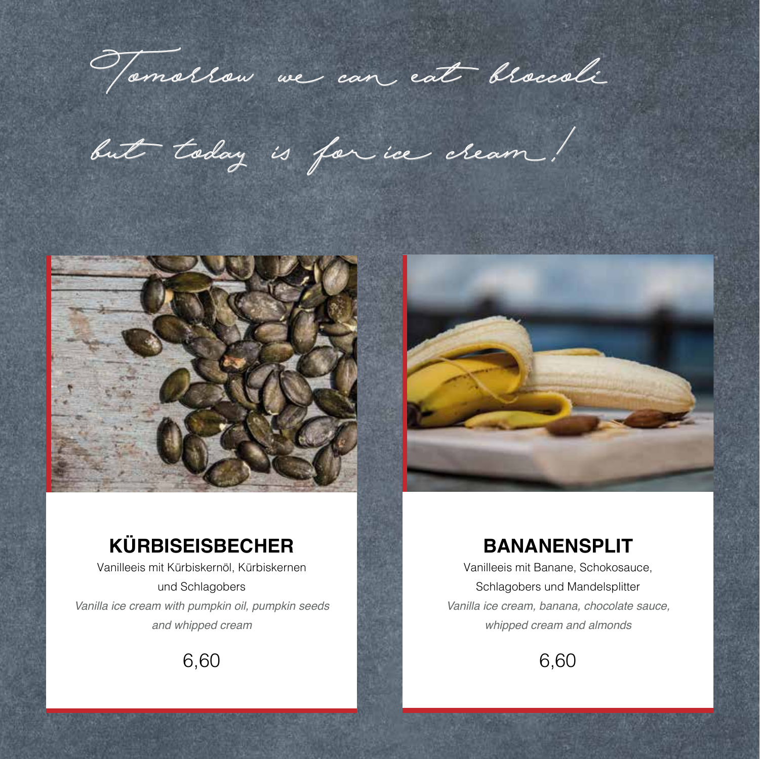Jonorrow we can eat broccoli

but today is for ice cream!





#### **KÜRBISEISBECHER**

Vanilleeis mit Kürbiskernöl, Kürbiskernen und Schlagobers *Vanilla ice cream with pumpkin oil, pumpkin seeds and whipped cream*

#### **BANANENSPLIT**

Vanilleeis mit Banane, Schokosauce, Schlagobers und Mandelsplitter *Vanilla ice cream, banana, chocolate sauce, whipped cream and almonds*

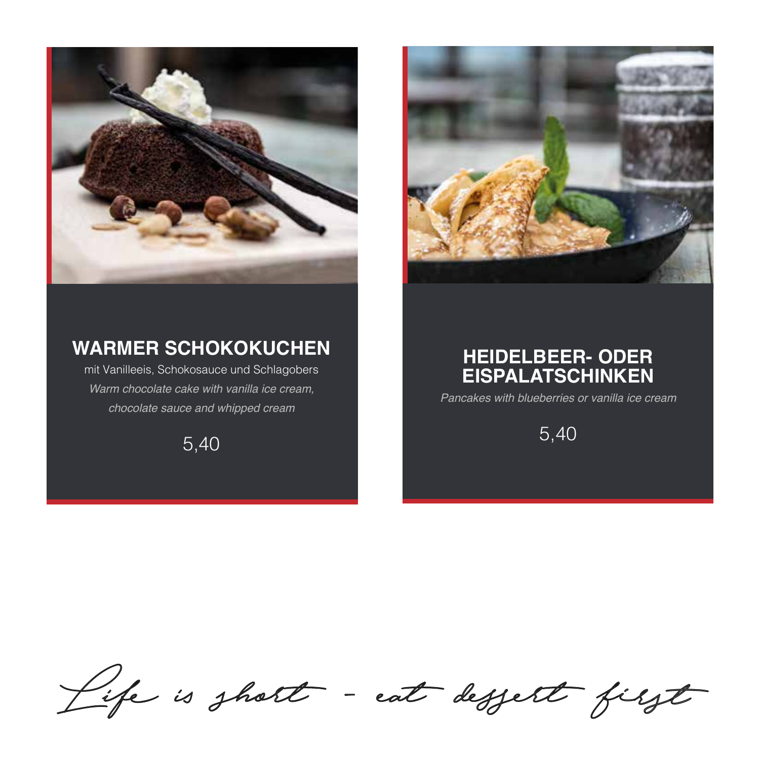



#### **WARMER SCHOKOKUCHEN**

mit Vanilleeis, Schokosauce und Schlagobers *Warm chocolate cake with vanilla ice cream, chocolate sauce and whipped cream*

5,40

#### **HEIDELBEER- ODER EISPALATSCHINKEN**

*Pancakes with blueberries or vanilla ice cream*

Life is short - eat desjert first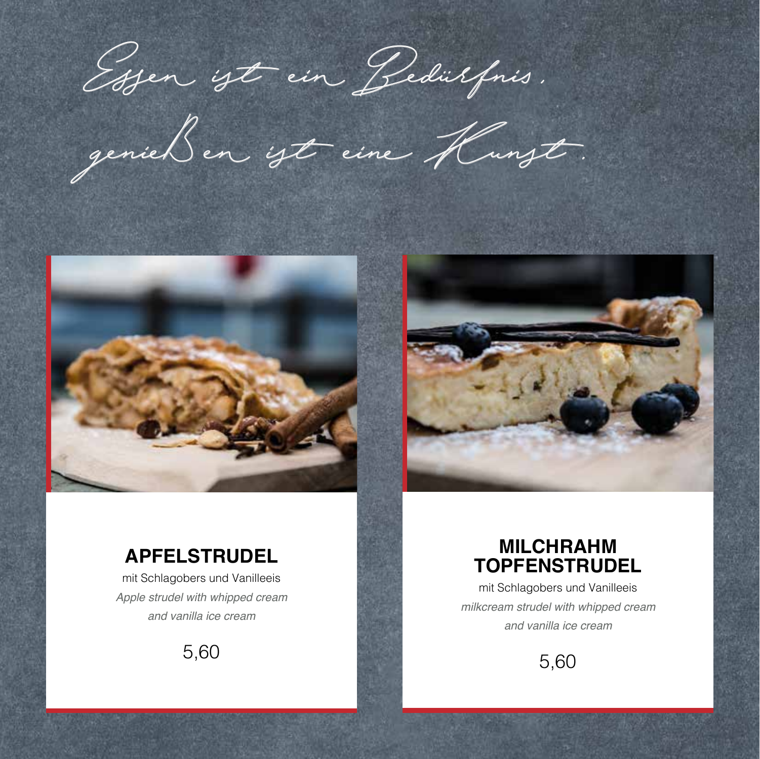Essen ist ein Bedürfnis.

genieß en ist eine Kunst.





#### **APFELSTRUDEL**

mit Schlagobers und Vanilleeis *Apple strudel with whipped cream and vanilla ice cream*

5,60

#### **MILCHRAHM TOPFENSTRUDEL**

mit Schlagobers und Vanilleeis *milkcream strudel with whipped cream and vanilla ice cream*

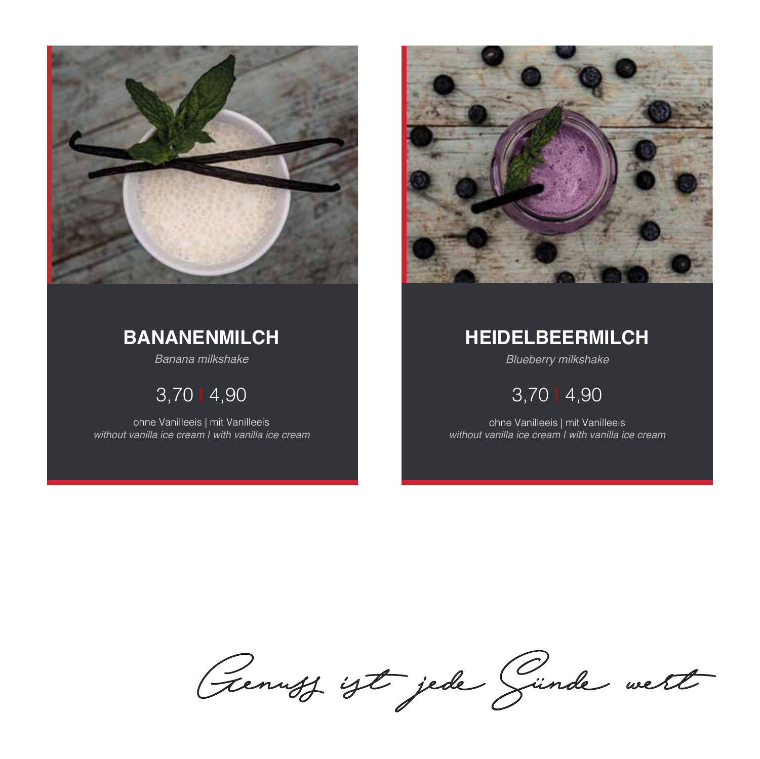



#### **BANANENMILCH**

*Banana milkshake*

3,70 **|** 4,90

ohne Vanilleeis | mit Vanilleeis *without vanilla ice cream | with vanilla ice cream*

#### **HEIDELBEERMILCH**

*Blueberry milkshake*

3,70 **|** 4,90

ohne Vanilleeis | mit Vanilleeis *without vanilla ice cream | with vanilla ice cream*

Genuzz izt jede Günde wert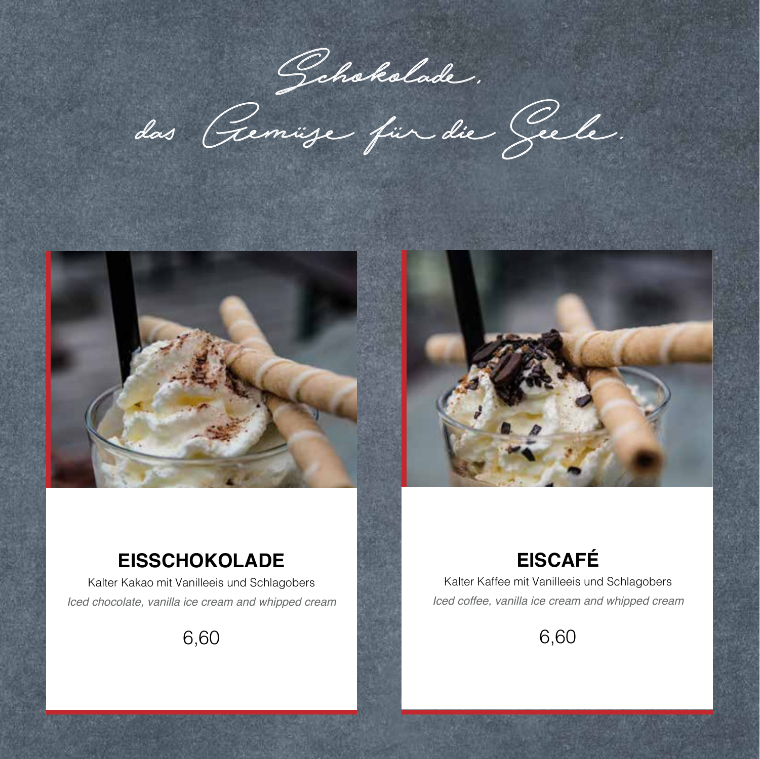Schokolade,

das (Temüze für die Seele.





#### **EISSCHOKOLADE**

Kalter Kakao mit Vanilleeis und Schlagobers *Iced chocolate, vanilla ice cream and whipped cream*

6,60

## **EISCAFÉ**

Kalter Kaffee mit Vanilleeis und Schlagobers *Iced coffee, vanilla ice cream and whipped cream*

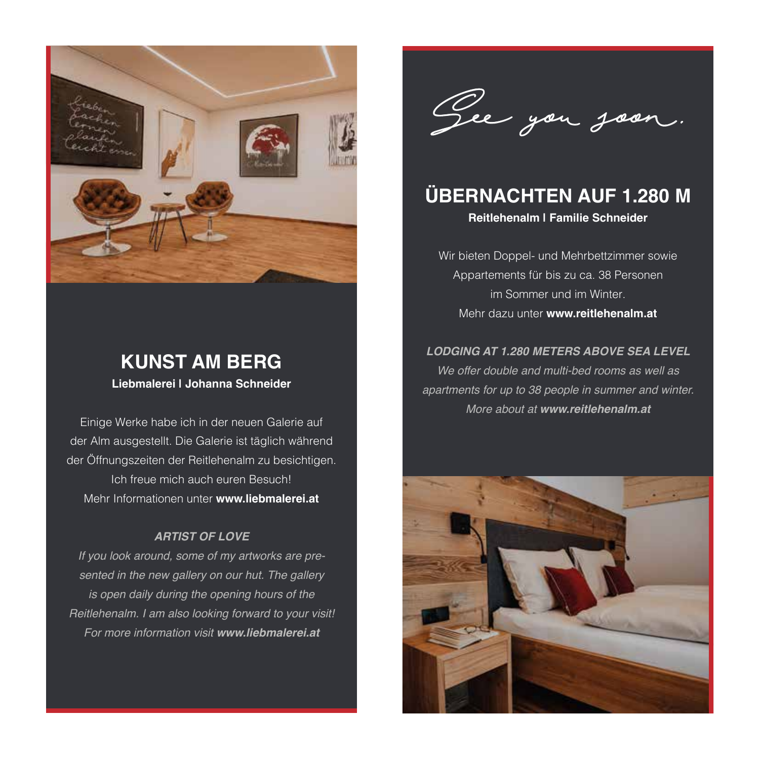

#### **KUNST AM BERG Liebmalerei | Johanna Schneider**

Einige Werke habe ich in der neuen Galerie auf der Alm ausgestellt. Die Galerie ist täglich während der Öffnungszeiten der Reitlehenalm zu besichtigen. Ich freue mich auch euren Besuch! Mehr Informationen unter **www.liebmalerei.at**

#### *ARTIST OF LOVE*

*If you look around, some of my artworks are presented in the new gallery on our hut. The gallery is open daily during the opening hours of the Reitlehenalm. I am also looking forward to your visit! For more information visit www.liebmalerei.at*

Gee you joan

# **ÜBERNACHTEN AUF 1.280 M**

#### **Reitlehenalm | Familie Schneider**

Wir bieten Doppel- und Mehrbettzimmer sowie Appartements für bis zu ca. 38 Personen im Sommer und im Winter. Mehr dazu unter **www.reitlehenalm.at**

#### *LODGING AT 1.280 METERS ABOVE SEA LEVEL*

*We offer double and multi-bed rooms as well as apartments for up to 38 people in summer and winter. More about at www.reitlehenalm.at*

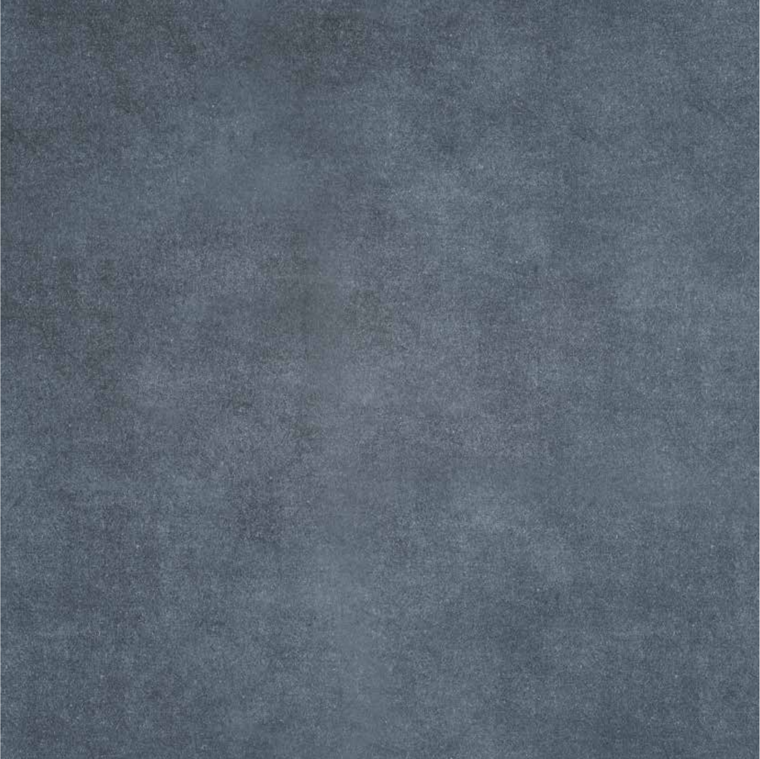